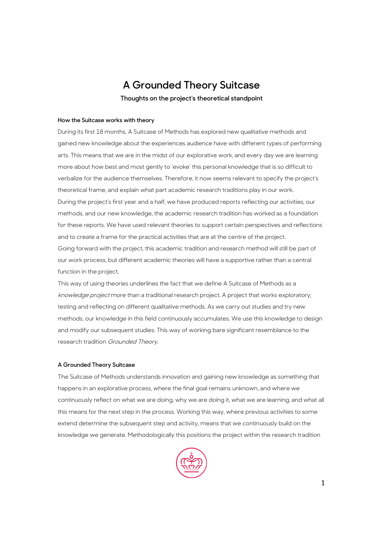# **A Grounded Theory Suitcase**

**Thoughts on the project's theoretical standpoint**

## **How the Suitcase works with theory**

During its first 18 months, A Suitcase of Methods has explored new qualitative methods and gained new knowledge about the experiences audience have with different types of performing arts. This means that we are in the midst of our explorative work, and every day we are learning more about how best and most gently to 'evoke' this personal knowledge that is so difficult to verbalize for the audience themselves. Therefore, it now seems relevant to specify the project's theoretical frame, and explain what part academic research traditions play in our work. During the project's first year and a half, we have produced reports reflecting our activities, our methods, and our new knowledge, the academic research tradition has worked as a foundation for these reports. We have used relevant theories to support certain perspectives and reflections and to create a frame for the practical activities that are at the centre of the project. Going forward with the project, this academic tradition and research method will still be part of our work process, but different academic theories will have a supportive rather than a central function in the project.

This way of using theories underlines the fact that we define A Suitcase of Methods as a knowledge project more than a traditional research project. A project that works exploratory; testing and reflecting on different qualitative methods. As we carry out studies and try new methods, our knowledge in this field continuously accumulates. We use this knowledge to design and modify our subsequent studies. This way of working bare significant resemblance to the research tradition Grounded Theory.

# **A Grounded Theory Suitcase**

The Suitcase of Methods understands innovation and gaining new knowledge as something that happens in an explorative process, where the final goal remains unknown, and where we continuously reflect on what we are doing, why we are doing it, what we are learning, and what all this means for the next step in the process. Working this way, where previous activities to some extend determine the subsequent step and activity, means that we continuously build on the knowledge we generate. Methodologically this positions the project within the research tradition

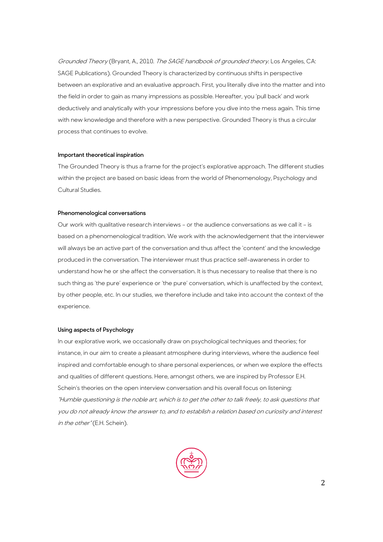Grounded Theory (Bryant, A., 2010. The SAGE handbook of grounded theory. Los Angeles, CA: SAGE Publications). Grounded Theory is characterized by continuous shifts in perspective between an explorative and an evaluative approach. First, you literally dive into the matter and into the field in order to gain as many impressions as possible. Hereafter, you 'pull back' and work deductively and analytically with your impressions before you dive into the mess again. This time with new knowledge and therefore with a new perspective. Grounded Theory is thus a circular process that continues to evolve.

### **Important theoretical inspiration**

The Grounded Theory is thus a frame for the project's explorative approach. The different studies within the project are based on basic ideas from the world of Phenomenology, Psychology and Cultural Studies.

#### **Phenomenological conversations**

Our work with qualitative research interviews – or the audience conversations as we call it – is based on a phenomenological tradition. We work with the acknowledgement that the interviewer will always be an active part of the conversation and thus affect the 'content' and the knowledge produced in the conversation. The interviewer must thus practice self-awareness in order to understand how he or she affect the conversation. It is thus necessary to realise that there is no such thing as 'the pure' experience or 'the pure' conversation, which is unaffected by the context, by other people, etc. In our studies, we therefore include and take into account the context of the experience.

## **Using aspects of Psychology**

In our explorative work, we occasionally draw on psychological techniques and theories; for instance, in our aim to create a pleasant atmosphere during interviews, where the audience feel inspired and comfortable enough to share personal experiences, or when we explore the effects and qualities of different questions. Here, amongst others, we are inspired by Professor E.H. Schein's theories on the open interview conversation and his overall focus on listening: "Humble questioning is the noble art, which is to get the other to talk freely, to ask questions that you do not already know the answer to, and to establish a relation based on curiosity and interest in the other" (E.H. Schein).

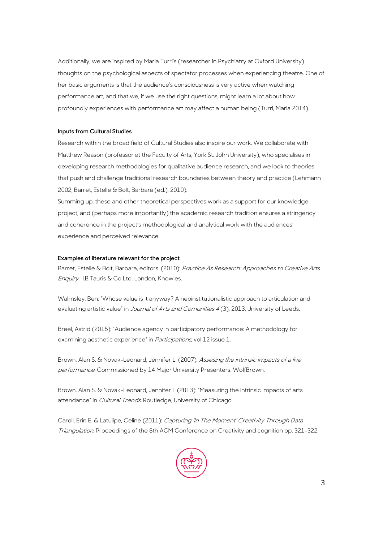Additionally, we are inspired by Maria Turri's (researcher in Psychiatry at Oxford University) thoughts on the psychological aspects of spectator processes when experiencing theatre. One of her basic arguments is that the audience's consciousness is very active when watching performance art, and that we, if we use the right questions, might learn a lot about how profoundly experiences with performance art may affect a human being (Turri, Maria 2014).

# **Inputs from Cultural Studies**

Research within the broad field of Cultural Studies also inspire our work. We collaborate with Matthew Reason (professor at the Faculty of Arts, York St. John University), who specialises in developing research methodologies for qualitative audience research, and we look to theories that push and challenge traditional research boundaries between theory and practice (Lehmann 2002; Barret, Estelle & Bolt, Barbara (ed.), 2010).

Summing up, these and other theoretical perspectives work as a support for our knowledge project, and (perhaps more importantly) the academic research tradition ensures a stringency and coherence in the project's methodological and analytical work with the audiences' experience and perceived relevance.

# **Examples of literature relevant for the project**

Barret, Estelle & Bolt, Barbara, editors. (2010): Practice As Research: Approaches to Creative Arts Enquiry. I.B.Tauris & Co Ltd. London, Knowles.

Walmsley, Ben: "Whose value is it anyway? A neoinstitutionalistic approach to articulation and evaluating artistic value" in *Journal of Arts and Comunities 4* (3), 2013, University of Leeds.

Breel, Astrid (2015): "Audience agency in participatory performance: A methodology for examining aesthetic experience" in *Participations*, vol 12 issue 1.

Brown, Alan S. & Novak-Leonard, Jennifer L. (2007): Assesing the intrinsic impacts of a live performance. Commissioned by 14 Major University Presenters. WolfBrown.

Brown, Alan S. & Novak-Leonard, Jennifer L (2013): "Measuring the intrinsic impacts of arts attendance" in Cultural Trends. Routledge, University of Chicago.

Caroll, Erin E. & Latulipe, Celine (2011): Capturing 'In The Moment' Creativity Through Data Triangulation. Proceedings of the 8th ACM Conference on Creativity and cognition pp. 321-322.